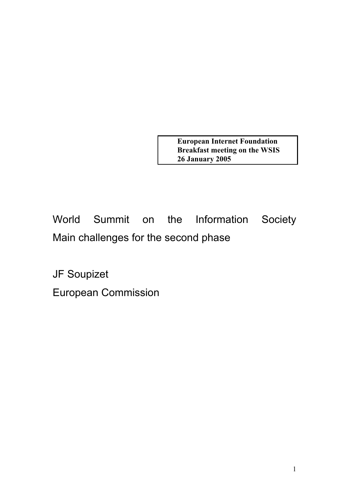**European Internet Foundation Breakfast meeting on the WSIS 26 January 2005**

World Summit on the Information Society Main challenges for the second phase

JF Soupizet

European Commission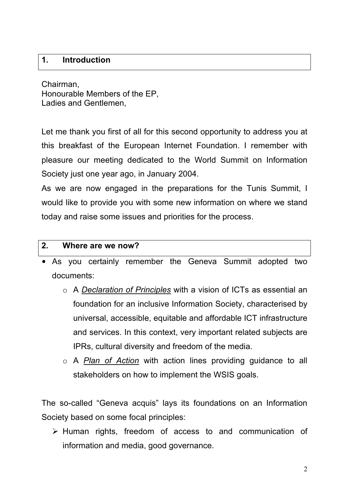## **1. Introduction**

Chairman, Honourable Members of the EP, Ladies and Gentlemen,

Let me thank you first of all for this second opportunity to address you at this breakfast of the European Internet Foundation. I remember with pleasure our meeting dedicated to the World Summit on Information Society just one year ago, in January 2004.

As we are now engaged in the preparations for the Tunis Summit, I would like to provide you with some new information on where we stand today and raise some issues and priorities for the process.

#### **2. Where are we now?**

- As you certainly remember the Geneva Summit adopted two documents:
	- o A *Declaration of Principles* with a vision of ICTs as essential an foundation for an inclusive Information Society, characterised by universal, accessible, equitable and affordable ICT infrastructure and services. In this context, very important related subjects are IPRs, cultural diversity and freedom of the media.
	- o A *Plan of Action* with action lines providing guidance to all stakeholders on how to implement the WSIS goals.

The so-called "Geneva acquis" lays its foundations on an Information Society based on some focal principles:

 $\triangleright$  Human rights, freedom of access to and communication of information and media, good governance.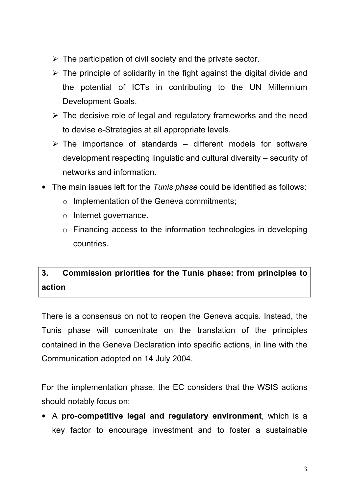- $\triangleright$  The participation of civil society and the private sector.
- $\triangleright$  The principle of solidarity in the fight against the digital divide and the potential of ICTs in contributing to the UN Millennium Development Goals.
- $\triangleright$  The decisive role of legal and regulatory frameworks and the need to devise e-Strategies at all appropriate levels.
- $\triangleright$  The importance of standards different models for software development respecting linguistic and cultural diversity – security of networks and information.
- The main issues left for the *Tunis phase* could be identified as follows:
	- o Implementation of the Geneva commitments;
	- o Internet governance.
	- o Financing access to the information technologies in developing countries.

# **3. Commission priorities for the Tunis phase: from principles to action**

There is a consensus on not to reopen the Geneva acquis. Instead, the Tunis phase will concentrate on the translation of the principles contained in the Geneva Declaration into specific actions, in line with the Communication adopted on 14 July 2004.

For the implementation phase, the EC considers that the WSIS actions should notably focus on:

• A **pro-competitive legal and regulatory environment**, which is a key factor to encourage investment and to foster a sustainable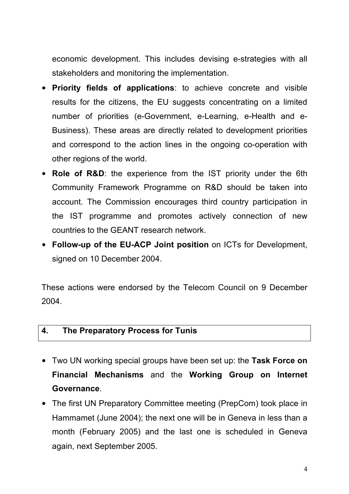economic development. This includes devising e-strategies with all stakeholders and monitoring the implementation.

- **Priority fields of applications**: to achieve concrete and visible results for the citizens, the EU suggests concentrating on a limited number of priorities (e-Government, e-Learning, e-Health and e-Business). These areas are directly related to development priorities and correspond to the action lines in the ongoing co-operation with other regions of the world.
- **Role of R&D**: the experience from the IST priority under the 6th Community Framework Programme on R&D should be taken into account. The Commission encourages third country participation in the IST programme and promotes actively connection of new countries to the GEANT research network.
- **Follow-up of the EU-ACP Joint position** on ICTs for Development, signed on 10 December 2004.

These actions were endorsed by the Telecom Council on 9 December 2004.

#### **4. The Preparatory Process for Tunis**

- Two UN working special groups have been set up: the **Task Force on Financial Mechanisms** and the **Working Group on Internet Governance**.
- The first UN Preparatory Committee meeting (PrepCom) took place in Hammamet (June 2004); the next one will be in Geneva in less than a month (February 2005) and the last one is scheduled in Geneva again, next September 2005.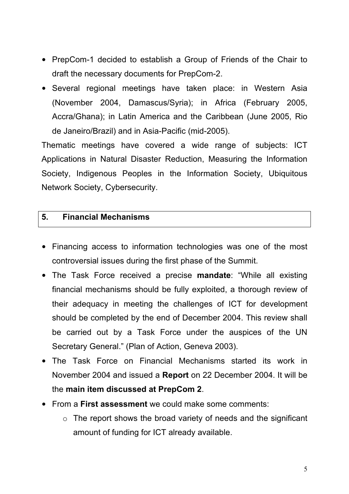- PrepCom-1 decided to establish a Group of Friends of the Chair to draft the necessary documents for PrepCom-2.
- Several regional meetings have taken place: in Western Asia (November 2004, Damascus/Syria); in Africa (February 2005, Accra/Ghana); in Latin America and the Caribbean (June 2005, Rio de Janeiro/Brazil) and in Asia-Pacific (mid-2005).

Thematic meetings have covered a wide range of subjects: ICT Applications in Natural Disaster Reduction, Measuring the Information Society, Indigenous Peoples in the Information Society, Ubiquitous Network Society, Cybersecurity.

#### **5. Financial Mechanisms**

- Financing access to information technologies was one of the most controversial issues during the first phase of the Summit.
- The Task Force received a precise **mandate**: "While all existing financial mechanisms should be fully exploited, a thorough review of their adequacy in meeting the challenges of ICT for development should be completed by the end of December 2004. This review shall be carried out by a Task Force under the auspices of the UN Secretary General." (Plan of Action, Geneva 2003).
- The Task Force on Financial Mechanisms started its work in November 2004 and issued a **Report** on 22 December 2004. It will be the **main item discussed at PrepCom 2**.
- From a **First assessment** we could make some comments:
	- o The report shows the broad variety of needs and the significant amount of funding for ICT already available.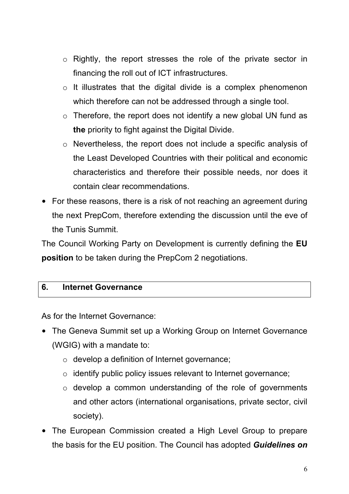- o Rightly, the report stresses the role of the private sector in financing the roll out of ICT infrastructures.
- o It illustrates that the digital divide is a complex phenomenon which therefore can not be addressed through a single tool.
- $\circ$  Therefore, the report does not identify a new global UN fund as **the** priority to fight against the Digital Divide.
- o Nevertheless, the report does not include a specific analysis of the Least Developed Countries with their political and economic characteristics and therefore their possible needs, nor does it contain clear recommendations.
- For these reasons, there is a risk of not reaching an agreement during the next PrepCom, therefore extending the discussion until the eve of the Tunis Summit.

The Council Working Party on Development is currently defining the **EU position** to be taken during the PrepCom 2 negotiations.

#### **6. Internet Governance**

As for the Internet Governance:

- The Geneva Summit set up a Working Group on Internet Governance (WGIG) with a mandate to:
	- o develop a definition of Internet governance;
	- o identify public policy issues relevant to Internet governance;
	- o develop a common understanding of the role of governments and other actors (international organisations, private sector, civil society).
- The European Commission created a High Level Group to prepare the basis for the EU position. The Council has adopted *Guidelines on*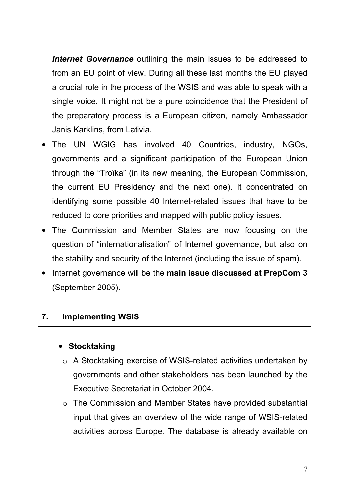*Internet Governance* outlining the main issues to be addressed to from an EU point of view. During all these last months the EU played a crucial role in the process of the WSIS and was able to speak with a single voice. It might not be a pure coincidence that the President of the preparatory process is a European citizen, namely Ambassador Janis Karklins, from Lativia.

- The UN WGIG has involved 40 Countries, industry, NGOs, governments and a significant participation of the European Union through the "Troïka" (in its new meaning, the European Commission, the current EU Presidency and the next one). It concentrated on identifying some possible 40 Internet-related issues that have to be reduced to core priorities and mapped with public policy issues.
- The Commission and Member States are now focusing on the question of "internationalisation" of Internet governance, but also on the stability and security of the Internet (including the issue of spam).
- Internet governance will be the **main issue discussed at PrepCom 3**  (September 2005).

#### **7. Implementing WSIS**

## • **Stocktaking**

- o A Stocktaking exercise of WSIS-related activities undertaken by governments and other stakeholders has been launched by the Executive Secretariat in October 2004.
- o The Commission and Member States have provided substantial input that gives an overview of the wide range of WSIS-related activities across Europe. The database is already available on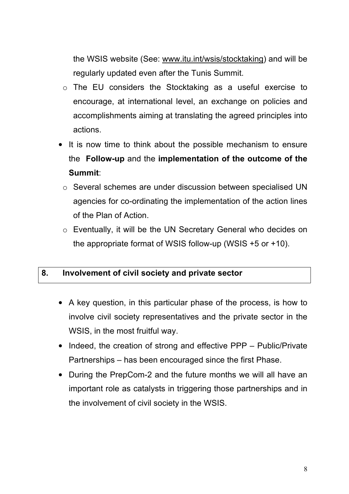the WSIS website (See: www.itu.int/wsis/stocktaking) and will be regularly updated even after the Tunis Summit.

- o The EU considers the Stocktaking as a useful exercise to encourage, at international level, an exchange on policies and accomplishments aiming at translating the agreed principles into actions.
- It is now time to think about the possible mechanism to ensure the **Follow-up** and the **implementation of the outcome of the Summit**:
	- o Several schemes are under discussion between specialised UN agencies for co-ordinating the implementation of the action lines of the Plan of Action.
	- o Eventually, it will be the UN Secretary General who decides on the appropriate format of WSIS follow-up (WSIS +5 or +10).

## **8. Involvement of civil society and private sector**

- A key question, in this particular phase of the process, is how to involve civil society representatives and the private sector in the WSIS, in the most fruitful way.
- Indeed, the creation of strong and effective PPP Public/Private Partnerships – has been encouraged since the first Phase.
- During the PrepCom-2 and the future months we will all have an important role as catalysts in triggering those partnerships and in the involvement of civil society in the WSIS.